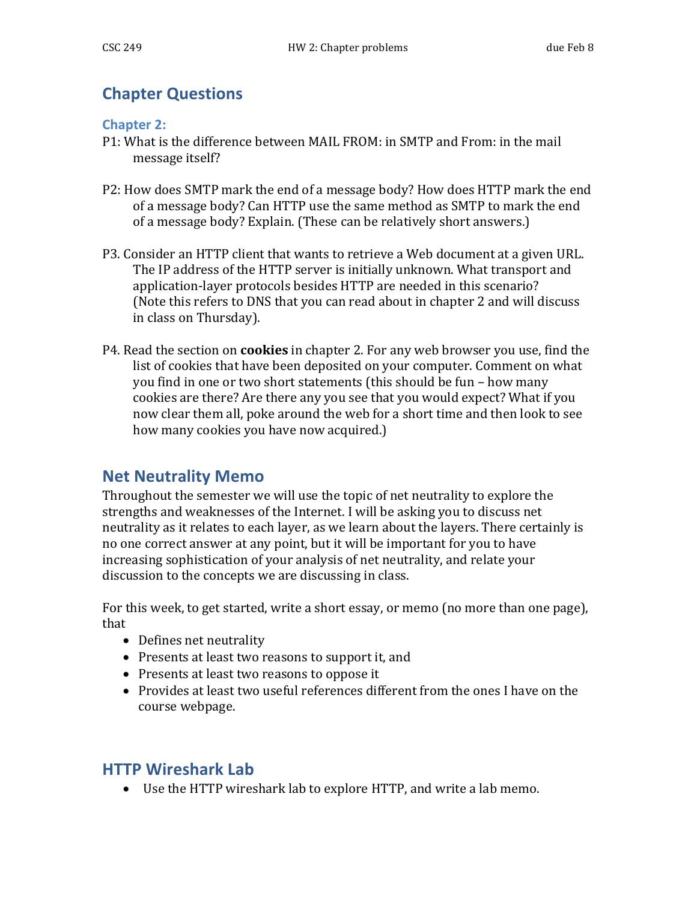## **Chapter Questions**

## **Chapter 2:**

- P1: What is the difference between MAIL FROM: in SMTP and From: in the mail message itself?
- P2: How does SMTP mark the end of a message body? How does HTTP mark the end of a message body? Can HTTP use the same method as SMTP to mark the end of a message body? Explain. (These can be relatively short answers.)
- P3. Consider an HTTP client that wants to retrieve a Web document at a given URL. The IP address of the HTTP server is initially unknown. What transport and application-layer protocols besides HTTP are needed in this scenario? (Note this refers to DNS that you can read about in chapter 2 and will discuss in class on Thursday).
- P4. Read the section on **cookies** in chapter 2. For any web browser you use, find the list of cookies that have been deposited on your computer. Comment on what you find in one or two short statements (this should be fun – how many cookies are there? Are there any you see that you would expect? What if you now clear them all, poke around the web for a short time and then look to see how many cookies you have now acquired.)

## **Net Neutrality Memo**

Throughout the semester we will use the topic of net neutrality to explore the strengths and weaknesses of the Internet. I will be asking you to discuss net neutrality as it relates to each layer, as we learn about the layers. There certainly is no one correct answer at any point, but it will be important for you to have increasing sophistication of your analysis of net neutrality, and relate your discussion to the concepts we are discussing in class.

For this week, to get started, write a short essay, or memo (no more than one page), that

- Defines net neutrality
- Presents at least two reasons to support it, and
- Presents at least two reasons to oppose it
- Provides at least two useful references different from the ones I have on the course webpage.

## **HTTP Wireshark Lab**

• Use the HTTP wireshark lab to explore HTTP, and write a lab memo.